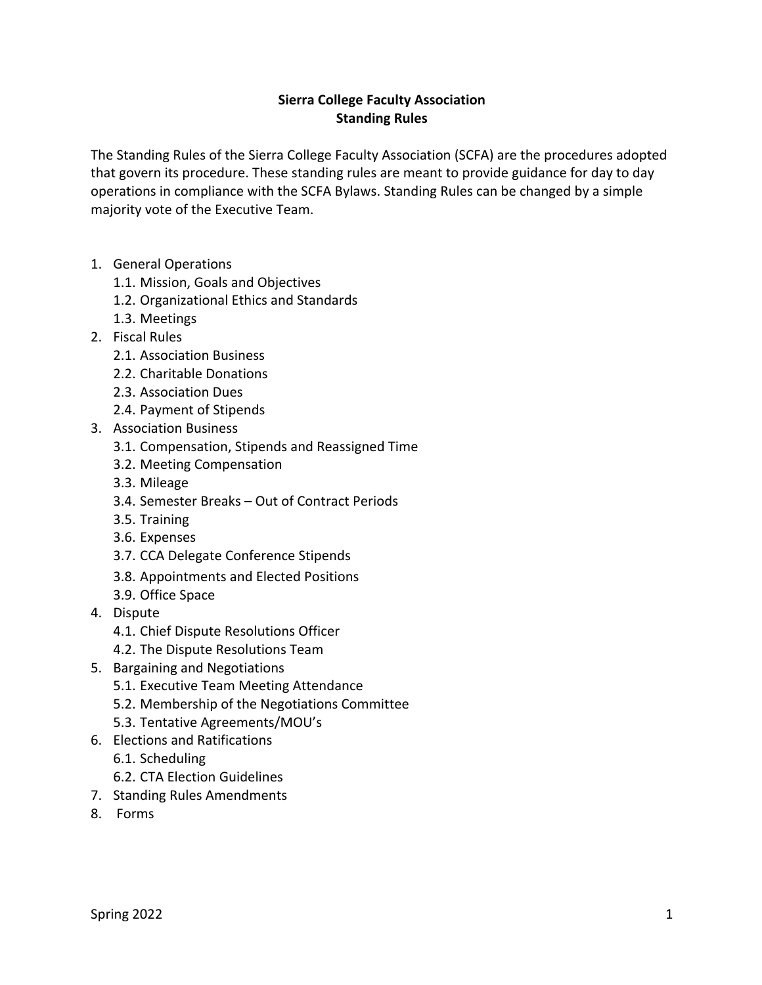## **Sierra College Faculty Association Standing Rules**

The Standing Rules of the Sierra College Faculty Association (SCFA) are the procedures adopted that govern its procedure. These standing rules are meant to provide guidance for day to day operations in compliance with the SCFA Bylaws. Standing Rules can be changed by a simple majority vote of the Executive Team.

- 1. General Operations
	- 1.1. Mission, Goals and Objectives
	- 1.2. Organizational Ethics and Standards
	- 1.3. Meetings
- 2. Fiscal Rules
	- 2.1. Association Business
	- 2.2. Charitable Donations
	- 2.3. Association Dues
	- 2.4. Payment of Stipends
- 3. Association Business
	- 3.1. Compensation, Stipends and Reassigned Time
	- 3.2. Meeting Compensation
	- 3.3. Mileage
	- 3.4. Semester Breaks Out of Contract Periods
	- 3.5. Training
	- 3.6. Expenses
	- 3.7. CCA Delegate Conference Stipends
	- 3.8. Appointments and Elected Positions
	- 3.9. Office Space
- 4. Dispute
	- 4.1. Chief Dispute Resolutions Officer
	- 4.2. The Dispute Resolutions Team
- 5. Bargaining and Negotiations
	- 5.1. Executive Team Meeting Attendance
	- 5.2. Membership of the Negotiations Committee
	- 5.3. Tentative Agreements/MOU's
- 6. Elections and Ratifications
	- 6.1. Scheduling
	- 6.2. CTA Election Guidelines
- 7. Standing Rules Amendments
- 8. Forms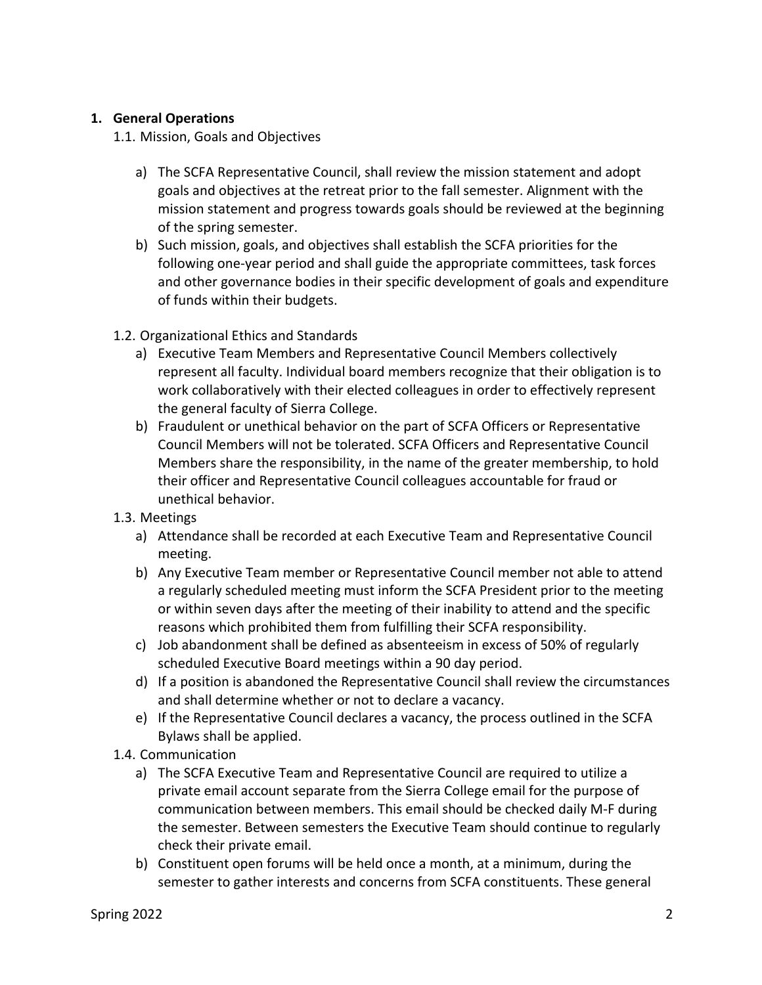### **1. General Operations**

1.1. Mission, Goals and Objectives

- a) The SCFA Representative Council, shall review the mission statement and adopt goals and objectives at the retreat prior to the fall semester. Alignment with the mission statement and progress towards goals should be reviewed at the beginning of the spring semester.
- b) Such mission, goals, and objectives shall establish the SCFA priorities for the following one-year period and shall guide the appropriate committees, task forces and other governance bodies in their specific development of goals and expenditure of funds within their budgets.
- 1.2. Organizational Ethics and Standards
	- a) Executive Team Members and Representative Council Members collectively represent all faculty. Individual board members recognize that their obligation is to work collaboratively with their elected colleagues in order to effectively represent the general faculty of Sierra College.
	- b) Fraudulent or unethical behavior on the part of SCFA Officers or Representative Council Members will not be tolerated. SCFA Officers and Representative Council Members share the responsibility, in the name of the greater membership, to hold their officer and Representative Council colleagues accountable for fraud or unethical behavior.
- 1.3. Meetings
	- a) Attendance shall be recorded at each Executive Team and Representative Council meeting.
	- b) Any Executive Team member or Representative Council member not able to attend a regularly scheduled meeting must inform the SCFA President prior to the meeting or within seven days after the meeting of their inability to attend and the specific reasons which prohibited them from fulfilling their SCFA responsibility.
	- c) Job abandonment shall be defined as absenteeism in excess of 50% of regularly scheduled Executive Board meetings within a 90 day period.
	- d) If a position is abandoned the Representative Council shall review the circumstances and shall determine whether or not to declare a vacancy.
	- e) If the Representative Council declares a vacancy, the process outlined in the SCFA Bylaws shall be applied.
- 1.4. Communication
	- a) The SCFA Executive Team and Representative Council are required to utilize a private email account separate from the Sierra College email for the purpose of communication between members. This email should be checked daily M-F during the semester. Between semesters the Executive Team should continue to regularly check their private email.
	- b) Constituent open forums will be held once a month, at a minimum, during the semester to gather interests and concerns from SCFA constituents. These general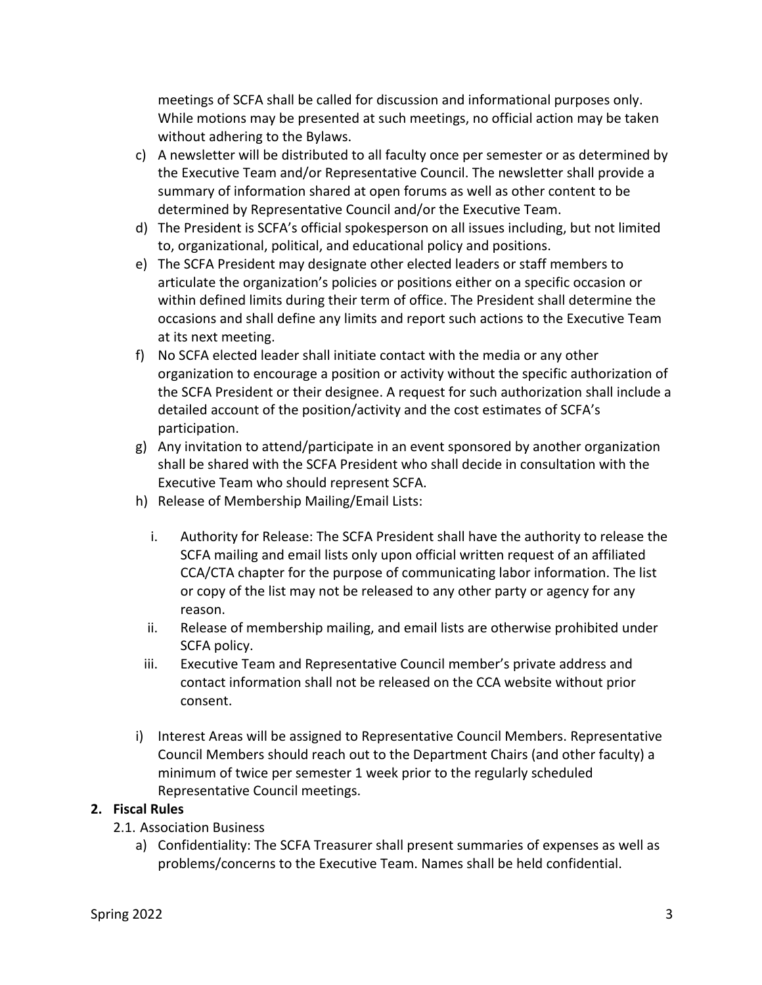meetings of SCFA shall be called for discussion and informational purposes only. While motions may be presented at such meetings, no official action may be taken without adhering to the Bylaws.

- c) A newsletter will be distributed to all faculty once per semester or as determined by the Executive Team and/or Representative Council. The newsletter shall provide a summary of information shared at open forums as well as other content to be determined by Representative Council and/or the Executive Team.
- d) The President is SCFA's official spokesperson on all issues including, but not limited to, organizational, political, and educational policy and positions.
- e) The SCFA President may designate other elected leaders or staff members to articulate the organization's policies or positions either on a specific occasion or within defined limits during their term of office. The President shall determine the occasions and shall define any limits and report such actions to the Executive Team at its next meeting.
- f) No SCFA elected leader shall initiate contact with the media or any other organization to encourage a position or activity without the specific authorization of the SCFA President or their designee. A request for such authorization shall include a detailed account of the position/activity and the cost estimates of SCFA's participation.
- g) Any invitation to attend/participate in an event sponsored by another organization shall be shared with the SCFA President who shall decide in consultation with the Executive Team who should represent SCFA.
- h) Release of Membership Mailing/Email Lists:
	- i. Authority for Release: The SCFA President shall have the authority to release the SCFA mailing and email lists only upon official written request of an affiliated CCA/CTA chapter for the purpose of communicating labor information. The list or copy of the list may not be released to any other party or agency for any reason.
	- ii. Release of membership mailing, and email lists are otherwise prohibited under SCFA policy.
	- iii. Executive Team and Representative Council member's private address and contact information shall not be released on the CCA website without prior consent.
- i) Interest Areas will be assigned to Representative Council Members. Representative Council Members should reach out to the Department Chairs (and other faculty) a minimum of twice per semester 1 week prior to the regularly scheduled Representative Council meetings.

#### **2. Fiscal Rules**

- 2.1. Association Business
	- a) Confidentiality: The SCFA Treasurer shall present summaries of expenses as well as problems/concerns to the Executive Team. Names shall be held confidential.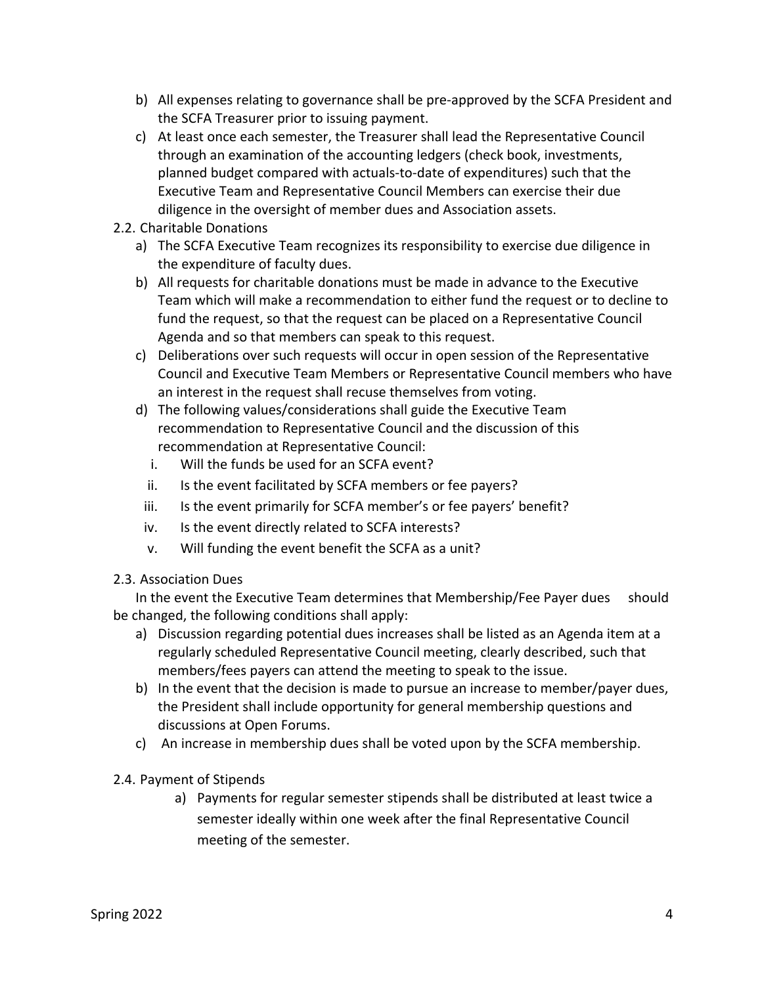- b) All expenses relating to governance shall be pre-approved by the SCFA President and the SCFA Treasurer prior to issuing payment.
- c) At least once each semester, the Treasurer shall lead the Representative Council through an examination of the accounting ledgers (check book, investments, planned budget compared with actuals-to-date of expenditures) such that the Executive Team and Representative Council Members can exercise their due diligence in the oversight of member dues and Association assets.
- 2.2. Charitable Donations
	- a) The SCFA Executive Team recognizes its responsibility to exercise due diligence in the expenditure of faculty dues.
	- b) All requests for charitable donations must be made in advance to the Executive Team which will make a recommendation to either fund the request or to decline to fund the request, so that the request can be placed on a Representative Council Agenda and so that members can speak to this request.
	- c) Deliberations over such requests will occur in open session of the Representative Council and Executive Team Members or Representative Council members who have an interest in the request shall recuse themselves from voting.
	- d) The following values/considerations shall guide the Executive Team recommendation to Representative Council and the discussion of this recommendation at Representative Council:
		- i. Will the funds be used for an SCFA event?
		- ii. Is the event facilitated by SCFA members or fee payers?
		- iii. Is the event primarily for SCFA member's or fee payers' benefit?
		- iv. Is the event directly related to SCFA interests?
		- v. Will funding the event benefit the SCFA as a unit?
- 2.3. Association Dues

In the event the Executive Team determines that Membership/Fee Payer dues should be changed, the following conditions shall apply:

- a) Discussion regarding potential dues increases shall be listed as an Agenda item at a regularly scheduled Representative Council meeting, clearly described, such that members/fees payers can attend the meeting to speak to the issue.
- b) In the event that the decision is made to pursue an increase to member/payer dues, the President shall include opportunity for general membership questions and discussions at Open Forums.
- c) An increase in membership dues shall be voted upon by the SCFA membership.
- 2.4. Payment of Stipends
	- a) Payments for regular semester stipends shall be distributed at least twice a semester ideally within one week after the final Representative Council meeting of the semester.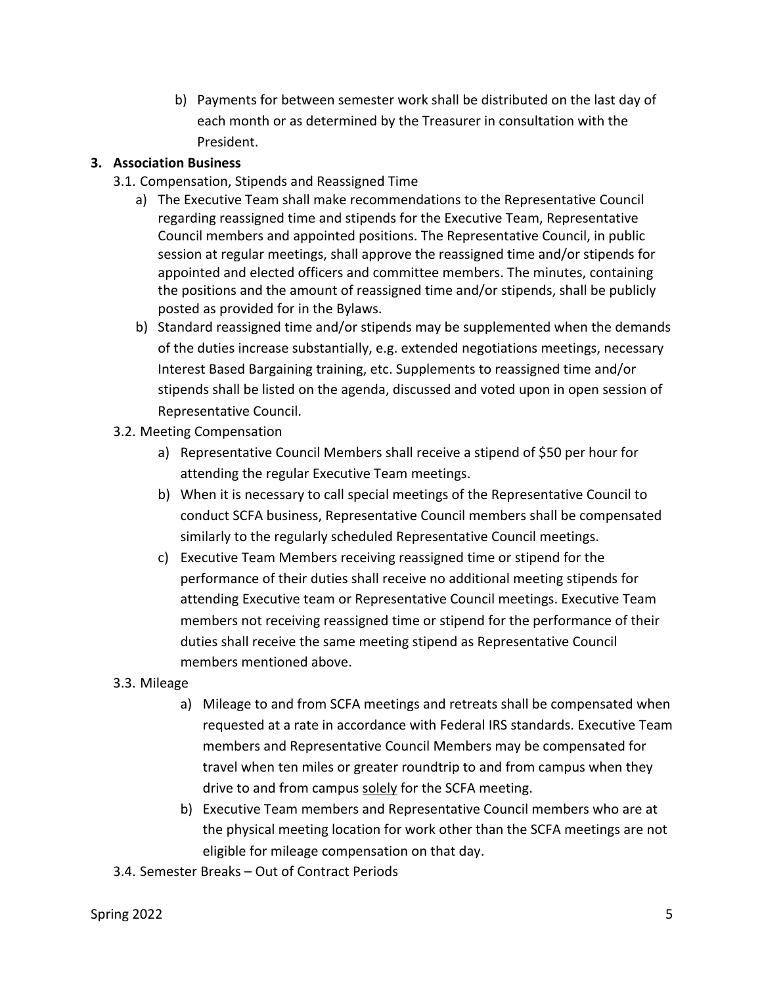b) Payments for between semester work shall be distributed on the last day of each month or as determined by the Treasurer in consultation with the President.

# **3. Association Business**

- 3.1. Compensation, Stipends and Reassigned Time
	- a) The Executive Team shall make recommendations to the Representative Council regarding reassigned time and stipends for the Executive Team, Representative Council members and appointed positions. The Representative Council, in public session at regular meetings, shall approve the reassigned time and/or stipends for appointed and elected officers and committee members. The minutes, containing the positions and the amount of reassigned time and/or stipends, shall be publicly posted as provided for in the Bylaws.
	- b) Standard reassigned time and/or stipends may be supplemented when the demands of the duties increase substantially, e.g. extended negotiations meetings, necessary Interest Based Bargaining training, etc. Supplements to reassigned time and/or stipends shall be listed on the agenda, discussed and voted upon in open session of Representative Council.
- 3.2. Meeting Compensation
	- a) Representative Council Members shall receive a stipend of \$50 per hour for attending the regular Executive Team meetings.
	- b) When it is necessary to call special meetings of the Representative Council to conduct SCFA business, Representative Council members shall be compensated similarly to the regularly scheduled Representative Council meetings.
	- c) Executive Team Members receiving reassigned time or stipend for the performance of their duties shall receive no additional meeting stipends for attending Executive team or Representative Council meetings. Executive Team members not receiving reassigned time or stipend for the performance of their duties shall receive the same meeting stipend as Representative Council members mentioned above.
- 3.3. Mileage
	- a) Mileage to and from SCFA meetings and retreats shall be compensated when requested at a rate in accordance with Federal IRS standards. Executive Team members and Representative Council Members may be compensated for travel when ten miles or greater roundtrip to and from campus when they drive to and from campus solely for the SCFA meeting.
	- b) Executive Team members and Representative Council members who are at the physical meeting location for work other than the SCFA meetings are not eligible for mileage compensation on that day.
- 3.4. Semester Breaks Out of Contract Periods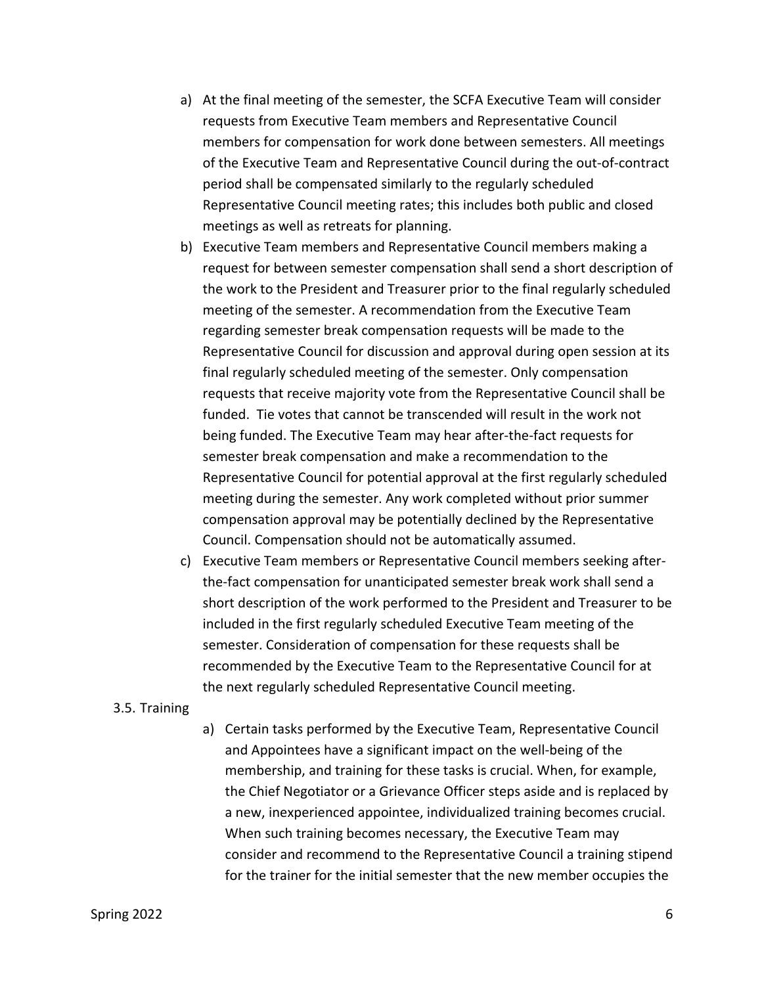- a) At the final meeting of the semester, the SCFA Executive Team will consider requests from Executive Team members and Representative Council members for compensation for work done between semesters. All meetings of the Executive Team and Representative Council during the out-of-contract period shall be compensated similarly to the regularly scheduled Representative Council meeting rates; this includes both public and closed meetings as well as retreats for planning.
- b) Executive Team members and Representative Council members making a request for between semester compensation shall send a short description of the work to the President and Treasurer prior to the final regularly scheduled meeting of the semester. A recommendation from the Executive Team regarding semester break compensation requests will be made to the Representative Council for discussion and approval during open session at its final regularly scheduled meeting of the semester. Only compensation requests that receive majority vote from the Representative Council shall be funded. Tie votes that cannot be transcended will result in the work not being funded. The Executive Team may hear after-the-fact requests for semester break compensation and make a recommendation to the Representative Council for potential approval at the first regularly scheduled meeting during the semester. Any work completed without prior summer compensation approval may be potentially declined by the Representative Council. Compensation should not be automatically assumed.
- c) Executive Team members or Representative Council members seeking afterthe-fact compensation for unanticipated semester break work shall send a short description of the work performed to the President and Treasurer to be included in the first regularly scheduled Executive Team meeting of the semester. Consideration of compensation for these requests shall be recommended by the Executive Team to the Representative Council for at the next regularly scheduled Representative Council meeting.

#### 3.5. Training

a) Certain tasks performed by the Executive Team, Representative Council and Appointees have a significant impact on the well-being of the membership, and training for these tasks is crucial. When, for example, the Chief Negotiator or a Grievance Officer steps aside and is replaced by a new, inexperienced appointee, individualized training becomes crucial. When such training becomes necessary, the Executive Team may consider and recommend to the Representative Council a training stipend for the trainer for the initial semester that the new member occupies the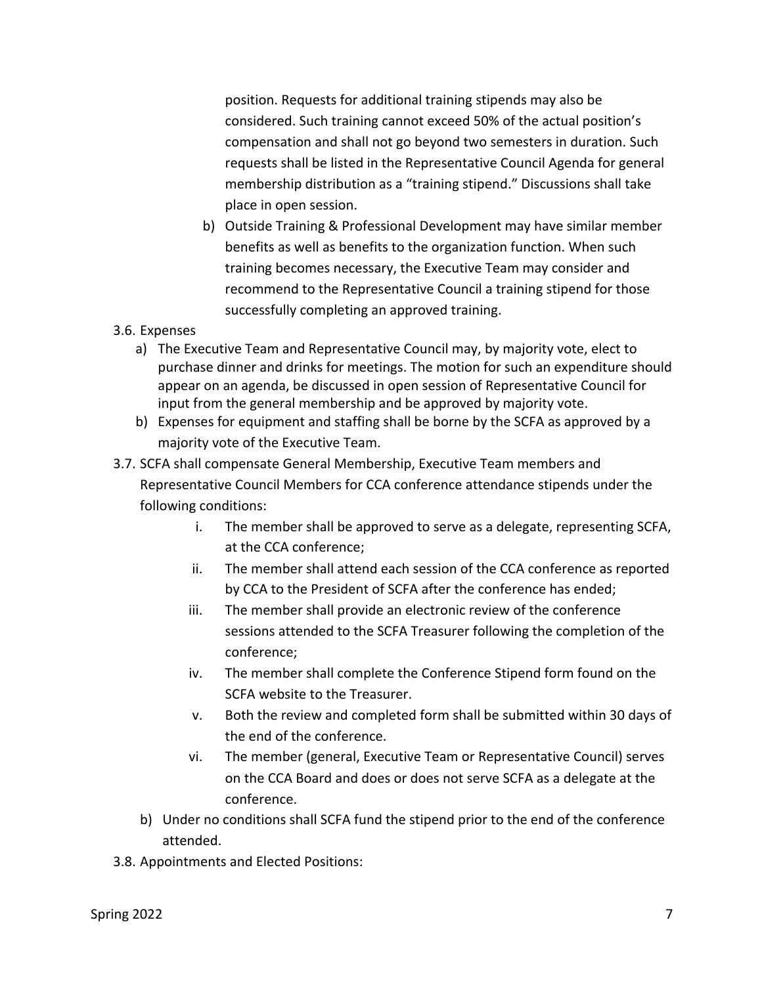position. Requests for additional training stipends may also be considered. Such training cannot exceed 50% of the actual position's compensation and shall not go beyond two semesters in duration. Such requests shall be listed in the Representative Council Agenda for general membership distribution as a "training stipend." Discussions shall take place in open session.

- b) Outside Training & Professional Development may have similar member benefits as well as benefits to the organization function. When such training becomes necessary, the Executive Team may consider and recommend to the Representative Council a training stipend for those successfully completing an approved training.
- 3.6. Expenses
	- a) The Executive Team and Representative Council may, by majority vote, elect to purchase dinner and drinks for meetings. The motion for such an expenditure should appear on an agenda, be discussed in open session of Representative Council for input from the general membership and be approved by majority vote.
	- b) Expenses for equipment and staffing shall be borne by the SCFA as approved by a majority vote of the Executive Team.
- 3.7. SCFA shall compensate General Membership, Executive Team members and Representative Council Members for CCA conference attendance stipends under the following conditions:
	- i. The member shall be approved to serve as a delegate, representing SCFA, at the CCA conference;
	- ii. The member shall attend each session of the CCA conference as reported by CCA to the President of SCFA after the conference has ended;
	- iii. The member shall provide an electronic review of the conference sessions attended to the SCFA Treasurer following the completion of the conference;
	- iv. The member shall complete the Conference Stipend form found on the SCFA website to the Treasurer.
	- v. Both the review and completed form shall be submitted within 30 days of the end of the conference.
	- vi. The member (general, Executive Team or Representative Council) serves on the CCA Board and does or does not serve SCFA as a delegate at the conference.
	- b) Under no conditions shall SCFA fund the stipend prior to the end of the conference attended.
- 3.8. Appointments and Elected Positions: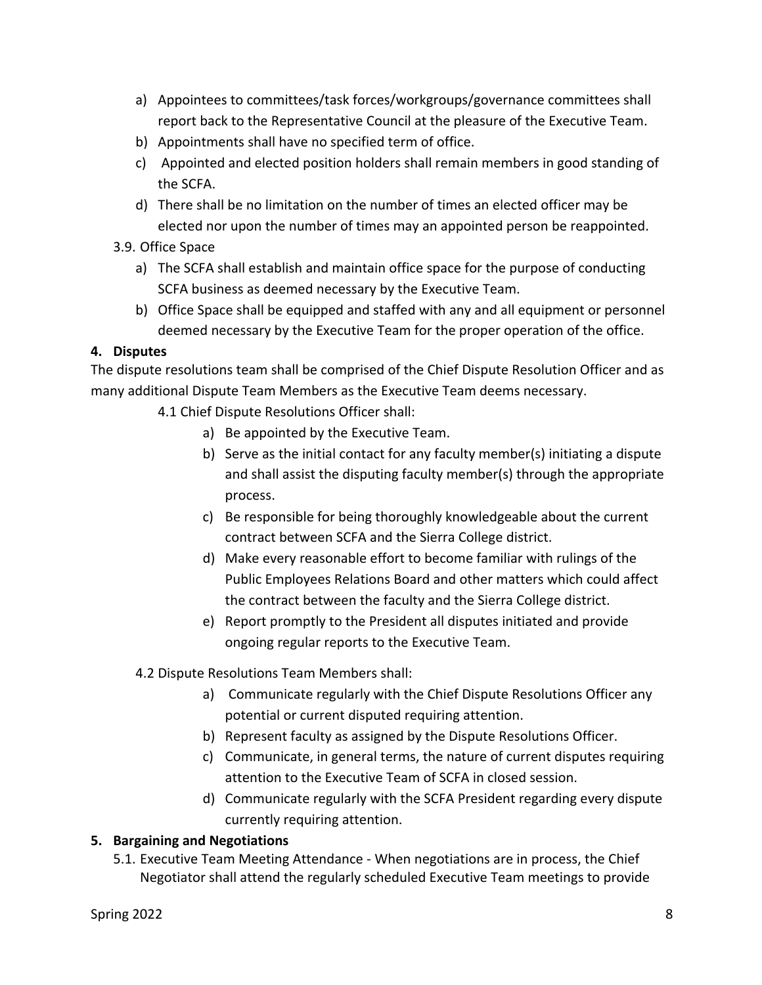- a) Appointees to committees/task forces/workgroups/governance committees shall report back to the Representative Council at the pleasure of the Executive Team.
- b) Appointments shall have no specified term of office.
- c) Appointed and elected position holders shall remain members in good standing of the SCFA.
- d) There shall be no limitation on the number of times an elected officer may be elected nor upon the number of times may an appointed person be reappointed.
- 3.9. Office Space
	- a) The SCFA shall establish and maintain office space for the purpose of conducting SCFA business as deemed necessary by the Executive Team.
	- b) Office Space shall be equipped and staffed with any and all equipment or personnel deemed necessary by the Executive Team for the proper operation of the office.

# **4. Disputes**

The dispute resolutions team shall be comprised of the Chief Dispute Resolution Officer and as many additional Dispute Team Members as the Executive Team deems necessary.

- 4.1 Chief Dispute Resolutions Officer shall:
	- a) Be appointed by the Executive Team.
	- b) Serve as the initial contact for any faculty member(s) initiating a dispute and shall assist the disputing faculty member(s) through the appropriate process.
	- c) Be responsible for being thoroughly knowledgeable about the current contract between SCFA and the Sierra College district.
	- d) Make every reasonable effort to become familiar with rulings of the Public Employees Relations Board and other matters which could affect the contract between the faculty and the Sierra College district.
	- e) Report promptly to the President all disputes initiated and provide ongoing regular reports to the Executive Team.
- 4.2 Dispute Resolutions Team Members shall:
	- a) Communicate regularly with the Chief Dispute Resolutions Officer any potential or current disputed requiring attention.
	- b) Represent faculty as assigned by the Dispute Resolutions Officer.
	- c) Communicate, in general terms, the nature of current disputes requiring attention to the Executive Team of SCFA in closed session.
	- d) Communicate regularly with the SCFA President regarding every dispute currently requiring attention.

# **5. Bargaining and Negotiations**

5.1. Executive Team Meeting Attendance - When negotiations are in process, the Chief Negotiator shall attend the regularly scheduled Executive Team meetings to provide